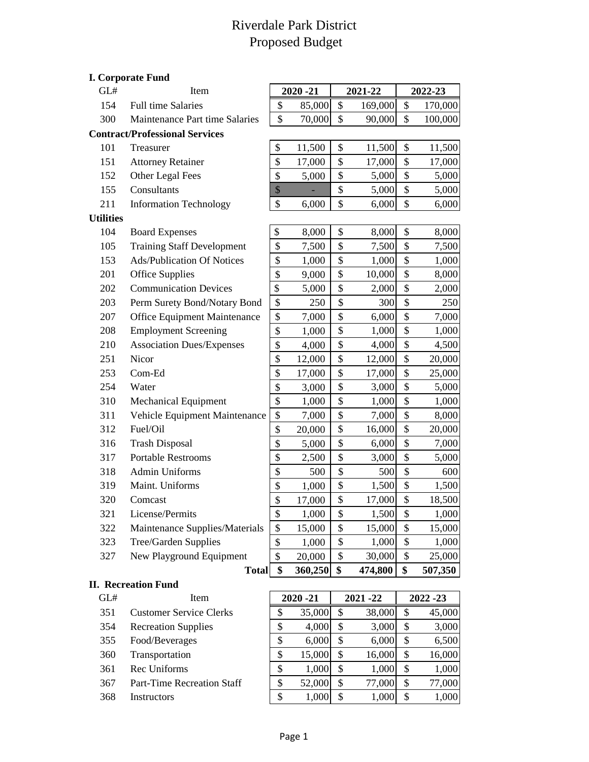## Riverdale Park District Proposed Budget

|                  | <b>I. Corporate Fund</b>              |              |             |                     |         |               |
|------------------|---------------------------------------|--------------|-------------|---------------------|---------|---------------|
| GL#              | Item                                  |              | $2020 - 21$ |                     | 2021-22 | 2022-23       |
| 154              | Full time Salaries                    | \$           | 85,000      | \$                  | 169,000 | \$<br>170,000 |
| 300              | Maintenance Part time Salaries        | \$           | 70,000      | \$                  | 90,000  | \$<br>100,000 |
|                  | <b>Contract/Professional Services</b> |              |             |                     |         |               |
| 101              | Treasurer                             | \$           | 11,500      | \$                  | 11,500  | \$<br>11,500  |
| 151              | <b>Attorney Retainer</b>              | \$           | 17,000      | \$                  | 17,000  | \$<br>17,000  |
| 152              | Other Legal Fees                      | \$           | 5,000       | \$                  | 5,000   | \$<br>5,000   |
| 155              | Consultants                           | $\mathbb{S}$ |             | \$                  | 5,000   | \$<br>5,000   |
| 211              | <b>Information Technology</b>         | \$           | 6,000       | \$                  | 6,000   | \$<br>6,000   |
| <b>Utilities</b> |                                       |              |             |                     |         |               |
| 104              | <b>Board Expenses</b>                 | \$           | 8,000       | \$                  | 8,000   | \$<br>8,000   |
| 105              | <b>Training Staff Development</b>     | \$           | 7,500       | \$                  | 7,500   | \$<br>7,500   |
| 153              | <b>Ads/Publication Of Notices</b>     | \$           | 1,000       | \$                  | 1,000   | \$<br>1,000   |
| 201              | <b>Office Supplies</b>                | \$           | 9,000       | \$                  | 10,000  | \$<br>8,000   |
| 202              | <b>Communication Devices</b>          | \$           | 5,000       | \$                  | 2,000   | \$<br>2,000   |
| 203              | Perm Surety Bond/Notary Bond          | \$           | 250         | \$                  | 300     | \$<br>250     |
| 207              | Office Equipment Maintenance          | \$           | 7,000       | \$                  | 6,000   | \$<br>7,000   |
| 208              | <b>Employment Screening</b>           | \$           | 1,000       | \$                  | 1,000   | \$<br>1,000   |
| 210              | <b>Association Dues/Expenses</b>      | \$           | 4,000       | \$                  | 4,000   | \$<br>4,500   |
| 251              | Nicor                                 | \$           | 12,000      | \$                  | 12,000  | \$<br>20,000  |
| 253              | Com-Ed                                | \$           | 17,000      | \$                  | 17,000  | \$<br>25,000  |
| 254              | Water                                 | \$           | 3,000       | \$                  | 3,000   | \$<br>5,000   |
| 310              | <b>Mechanical Equipment</b>           | \$           | 1,000       | \$                  | 1,000   | \$<br>1,000   |
| 311              | Vehicle Equipment Maintenance         | \$           | 7,000       | \$                  | 7,000   | \$<br>8,000   |
| 312              | Fuel/Oil                              | \$           | 20,000      | \$                  | 16,000  | \$<br>20,000  |
| 316              | <b>Trash Disposal</b>                 | \$           | 5,000       | \$                  | 6,000   | \$<br>7,000   |
| 317              | <b>Portable Restrooms</b>             | \$           | 2,500       | \$                  | 3,000   | \$<br>5,000   |
| 318              | <b>Admin Uniforms</b>                 | \$           | 500         | \$                  | 500     | \$<br>600     |
| 319              | Maint. Uniforms                       | \$           | 1,000       | \$                  | 1,500   | \$<br>1,500   |
| 320              | Comcast                               | \$           | 17,000      | $\hat{\mathcal{L}}$ | 17,000  | \$<br>18,500  |
| 321              | License/Permits                       | \$           | 1,000       | \$                  | 1,500   | \$<br>1,000   |
| 322              | Maintenance Supplies/Materials        | \$           | 15,000      | \$                  | 15,000  | \$<br>15,000  |
| 323              | Tree/Garden Supplies                  | \$           | 1,000       | \$                  | 1,000   | \$<br>1,000   |
| 327              | New Playground Equipment              | \$           | 20,000      | \$                  | 30,000  | \$<br>25,000  |
|                  | <b>Total</b>                          | \$           | 360,250     | \$                  | 474,800 | \$<br>507,350 |
|                  | <b>II. Recreation Fund</b>            |              |             |                     |         |               |
| GL#              | Item                                  |              | $2020 - 21$ |                     | 2021-22 | 2022 - 23     |
| 351              | <b>Customer Service Clerks</b>        | \$           | 35,000      | \$                  | 38,000  | \$<br>45,000  |

- 354 Recreation Supplies **\$** 4,000 \$ 3,000 \$ 3,000 355 Food/Beverages <br>  $\begin{array}{|c|c|c|c|c|c|} \hline \text{$6,000 $&$6,000 $&$6,500 \end{array}$
- Transportation \$ 15,000 \$ 16,000 \$ 16,000
- Rec Uniforms \$ 1,000 \$ 1,000 \$ 1,000
- 367 Part-Time Recreation Staff  $\begin{array}{|c|c|c|c|c|c|c|c|c|} \hline \text{5} & \text{52,000} & \text{5} & \text{77,000} & \text{5} & \text{77,000} \end{array}$
- 368 Instructors <br>  $\begin{array}{|c|c|c|c|c|c|c|c|c|} \hline \text{$ & 1,000 & $ \text{\$} & 1,000 & $ \text{\$} & 1,000 \hline \end{array}$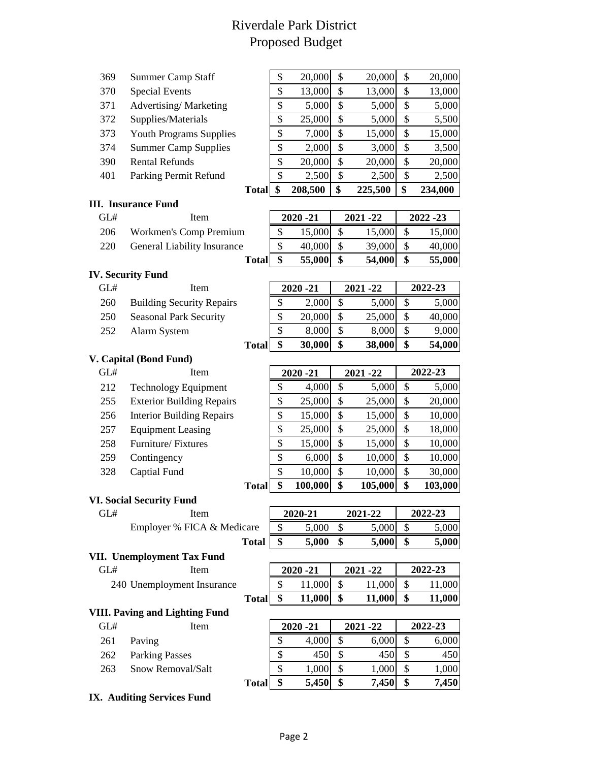# Riverdale Park District Proposed Budget

| <b>Summer Camp Staff</b><br>369 |  |  |
|---------------------------------|--|--|
|---------------------------------|--|--|

- 370 Special Events
- 
- 372 Supplies/Materials
- 373 Youth Programs Supplies
- 374 Summer Camp Supplies
- 390 Rental Refunds
- 401 Parking Permit Refund

#### **III. Insurance Fund**

- 
- 206 Workmen's Comp Premium
- 220 General Liability Insurance

| <b>IV. Security Fund</b> |  |
|--------------------------|--|
|                          |  |

- 
- 260 Building Security Repairs
- 250 Seasonal Park Security
- 252 Alarm System

#### **V. Capital (Bond Fund)**

| GL# | <b>Item</b>                      |
|-----|----------------------------------|
| 212 | <b>Technology Equipment</b>      |
| 255 | <b>Exterior Building Repairs</b> |
| 256 | <b>Interior Building Repairs</b> |
| 257 | <b>Equipment Leasing</b>         |
| 258 | Furniture/Fixtures               |
| 259 | Contingency                      |
|     |                                  |

#### **VI. Social Security Fund**

| GL# | Item                       |
|-----|----------------------------|
|     | Employer % FICA & Medicare |
|     | <b>Total</b>               |

#### **VII. Unemployment Tax Fund**

| ìL# | Item                       |
|-----|----------------------------|
|     | 240 Unemployment Insurance |

### **VIII. Paving and Lighting Fund**

| <b>Item</b>           |
|-----------------------|
| 261 Paving            |
| <b>Parking Passes</b> |
| Snow Removal/Salt     |
|                       |

**IX. Auditing Services Fund**

|     |                                | <b>Total</b> | \$<br>208,500 | \$<br>225,500 | \$           | 234,000 |
|-----|--------------------------------|--------------|---------------|---------------|--------------|---------|
| 401 | Parking Permit Refund          |              | \$<br>2,500   | \$<br>2,500   | \$           | 2,500   |
| 390 | <b>Rental Refunds</b>          |              | \$<br>20,000  | \$<br>20,000  | \$           | 20,000  |
| 374 | <b>Summer Camp Supplies</b>    |              | \$<br>2,000   | \$<br>3,000   | $\mathbb{S}$ | 3,500   |
| 373 | <b>Youth Programs Supplies</b> |              | \$<br>7,000   | \$<br>15,000  | \$           | 15,000  |
| 372 | Supplies/Materials             |              | \$<br>25,000  | \$<br>5,000   | \$           | 5,500   |
| 371 | Advertising/Marketing          |              | \$<br>5,000   | \$<br>5,000   | \$           | 5,000   |
| 370 | <b>Special Events</b>          |              | \$<br>13,000  | \$<br>13,000  | \$           | 13,000  |
| 369 | <b>Summer Camp Staff</b>       |              | \$<br>20,000  | \$<br>20,000  | \$           | 20,000  |
|     |                                |              |               |               |              |         |

| GL# | Item                        | $2020 - 21$ | $2021 - 22$ | $2022 - 23$ |
|-----|-----------------------------|-------------|-------------|-------------|
| 206 | Workmen's Comp Premium      | 15,000      | 15,000      | 15,000      |
| 220 | General Liability Insurance | 40,000      | 39,000      | 40,000      |
|     | <b>Total</b>                | 55,000      | 54,000      | 55,000      |

| GL# | Item                             | $2020 - 21$ |        | $2021 - 22$ |        | 2022-23 |        |
|-----|----------------------------------|-------------|--------|-------------|--------|---------|--------|
| 260 | <b>Building Security Repairs</b> | \$          | 2,000  | \$          | 5,000  | \$      | 5,000  |
| 250 | <b>Seasonal Park Security</b>    | S           | 20,000 | \$          | 25,000 | \$      | 40,000 |
| 252 | Alarm System                     |             | 8,000  | \$          | 8,000  | S       | 9,000  |
|     | <b>Total</b>                     |             | 30,000 | \$          | 38,000 | \$      | 54,000 |

| GL# | Item                             | $2020 - 21$  |    | $2021 - 22$ |    | 2022-23 |
|-----|----------------------------------|--------------|----|-------------|----|---------|
| 212 | <b>Technology Equipment</b>      | \$<br>4,000  | \$ | 5,000       | S  | 5,000   |
| 255 | <b>Exterior Building Repairs</b> | \$<br>25,000 | \$ | 25,000      | \$ | 20,000  |
| 256 | <b>Interior Building Repairs</b> | \$<br>15,000 | \$ | 15,000      | \$ | 10,000  |
| 257 | <b>Equipment Leasing</b>         | \$<br>25,000 | \$ | 25,000      | \$ | 18,000  |
| 258 | Furniture/Fixtures               | \$<br>15,000 | \$ | 15,000      | \$ | 10,000  |
| 259 | Contingency                      | \$<br>6,000  | \$ | 10,000      | \$ | 10,000  |
| 328 | Captial Fund                     | \$<br>10,000 | \$ | 10,000      | \$ | 30,000  |
|     | <b>Total</b>                     | 100,000      | \$ | 105,000     | \$ | 103,000 |

| GL# | Item                       | 2020-21 | 2021-22 | 2022-23 |
|-----|----------------------------|---------|---------|---------|
|     | Employer % FICA & Medicare | 5.000   | 5.000   | 5,000   |
|     | <b>Total</b>               | 5,000   | 5,000   | 5,000   |

| GL#                        | Item |              | $2020 - 21$ |        | $2021 - 22$ | 2022-23 |         |
|----------------------------|------|--------------|-------------|--------|-------------|---------|---------|
| 240 Unemployment Insurance |      |              |             | .000   | 11,000      |         | 11.0001 |
|                            |      | <b>Total</b> |             | 11,000 | 11,000      |         | 11,000  |

| GL# | Item                  |              | $2020 - 21$ |       | $2021 - 22$ |       | 2022-23 |       |
|-----|-----------------------|--------------|-------------|-------|-------------|-------|---------|-------|
| 261 | Paving                |              |             | 4,000 |             | 6,000 |         | 6,000 |
| 262 | <b>Parking Passes</b> |              |             | 450   |             | 450   |         | 450   |
| 263 | Snow Removal/Salt     |              | Φ<br>J.     | 1,000 | \$          | 1,000 | S       | 1,000 |
|     |                       | <b>Total</b> |             | 5,450 | \$          | 7,450 | \$      | 7,450 |